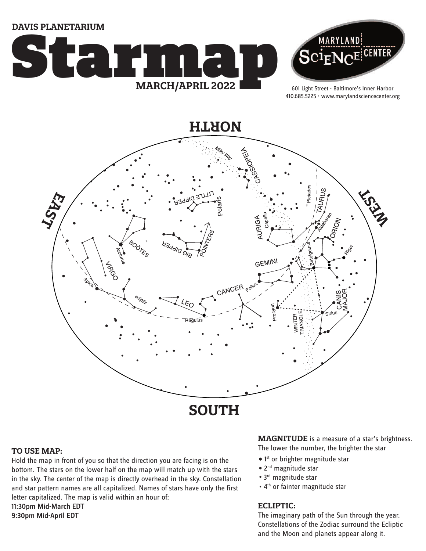**DAVIS PLANETARIUM**





601 Light Street • Baltimore's Inner Harbor 410.685.5225 • www.marylandsciencecenter.org



### **TO USE MAP:**

Hold the map in front of you so that the direction you are facing is on the bottom. The stars on the lower half on the map will match up with the stars in the sky. The center of the map is directly overhead in the sky. Constellation and star pattern names are all capitalized. Names of stars have only the first letter capitalized. The map is valid within an hour of: 11:30pm Mid-March EDT 9:30pm Mid-April EDT

**MAGNITUDE** is a measure of a star's brightness. The lower the number, the brighter the star

- 1<sup>st</sup> or brighter magnitude star
- 2<sup>nd</sup> magnitude star
- 3<sup>rd</sup> magnitude star
- 4<sup>th</sup> or fainter magnitude star

## **ECLIPTIC:**

The imaginary path of the Sun through the year. Constellations of the Zodiac surround the Ecliptic and the Moon and planets appear along it.